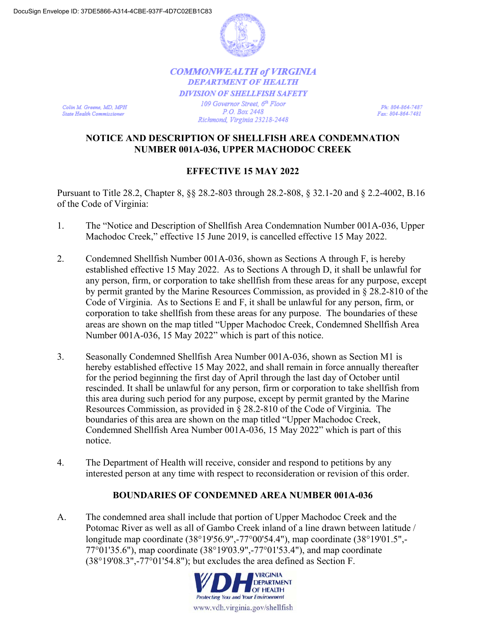

## **COMMONWEALTH of VIRGINIA DEPARTMENT OF HEALTH DIVISION OF SHELLFISH SAFETY** 109 Governor Street, 6th Floor P.O. Box 2448

Colin M. Greene, MD, MPH **State Health Commissioner** 

Ph: 804-864-7487 Fax: 804-864-7481

## **NOTICE AND DESCRIPTION OF SHELLFISH AREA CONDEMNATION NUMBER 001A-036, UPPER MACHODOC CREEK**

Richmond, Virginia 23218-2448

## **EFFECTIVE 15 MAY 2022**

Pursuant to Title 28.2, Chapter 8, §§ 28.2-803 through 28.2-808, § 32.1-20 and § 2.2-4002, B.16 of the Code of Virginia:

- 1. The "Notice and Description of Shellfish Area Condemnation Number 001A-036, Upper Machodoc Creek," effective 15 June 2019, is cancelled effective 15 May 2022.
- 2. Condemned Shellfish Number 001A-036, shown as Sections A through F, is hereby established effective 15 May 2022. As to Sections A through D, it shall be unlawful for any person, firm, or corporation to take shellfish from these areas for any purpose, except by permit granted by the Marine Resources Commission, as provided in § 28.2-810 of the Code of Virginia. As to Sections E and F, it shall be unlawful for any person, firm, or corporation to take shellfish from these areas for any purpose. The boundaries of these areas are shown on the map titled "Upper Machodoc Creek, Condemned Shellfish Area Number 001A-036, 15 May 2022" which is part of this notice.
- 3. Seasonally Condemned Shellfish Area Number 001A-036, shown as Section M1 is hereby established effective 15 May 2022, and shall remain in force annually thereafter for the period beginning the first day of April through the last day of October until rescinded. It shall be unlawful for any person, firm or corporation to take shellfish from this area during such period for any purpose, except by permit granted by the Marine Resources Commission, as provided in § 28.2-810 of the Code of Virginia*.* The boundaries of this area are shown on the map titled "Upper Machodoc Creek, Condemned Shellfish Area Number 001A-036, 15 May 2022" which is part of this notice.
- 4. The Department of Health will receive, consider and respond to petitions by any interested person at any time with respect to reconsideration or revision of this order.

## **BOUNDARIES OF CONDEMNED AREA NUMBER 001A-036**

A. The condemned area shall include that portion of Upper Machodoc Creek and the Potomac River as well as all of Gambo Creek inland of a line drawn between latitude / longitude map coordinate (38°19'56.9",-77°00'54.4"), map coordinate (38°19'01.5",- 77°01'35.6"), map coordinate (38°19'03.9",-77°01'53.4"), and map coordinate (38°19'08.3",-77°01'54.8"); but excludes the area defined as Section F.

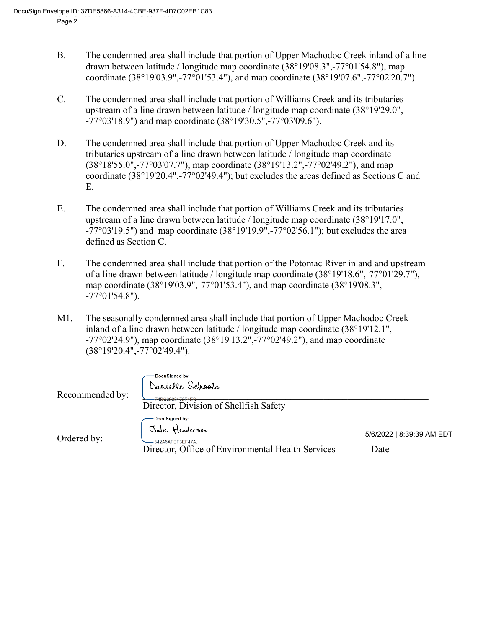- B. The condemned area shall include that portion of Upper Machodoc Creek inland of a line drawn between latitude / longitude map coordinate (38°19'08.3",-77°01'54.8"), map coordinate (38°19'03.9",-77°01'53.4"), and map coordinate (38°19'07.6",-77°02'20.7").
- C. The condemned area shall include that portion of Williams Creek and its tributaries upstream of a line drawn between latitude / longitude map coordinate (38°19'29.0", -77°03'18.9") and map coordinate (38°19'30.5",-77°03'09.6").
- D. The condemned area shall include that portion of Upper Machodoc Creek and its tributaries upstream of a line drawn between latitude / longitude map coordinate (38°18'55.0",-77°03'07.7"), map coordinate (38°19'13.2",-77°02'49.2"), and map coordinate (38°19'20.4",-77°02'49.4"); but excludes the areas defined as Sections C and E.
- E. The condemned area shall include that portion of Williams Creek and its tributaries upstream of a line drawn between latitude / longitude map coordinate (38°19'17.0",  $-77^{\circ}03'19.5"$ ) and map coordinate  $(38^{\circ}19'19.9", -77^{\circ}02'56.1")$ ; but excludes the area defined as Section C.
- F. The condemned area shall include that portion of the Potomac River inland and upstream of a line drawn between latitude / longitude map coordinate (38°19'18.6",-77°01'29.7"), map coordinate (38°19'03.9",-77°01'53.4"), and map coordinate (38°19'08.3",  $-77^{\circ}01'54.8"$ ).
- M1. The seasonally condemned area shall include that portion of Upper Machodoc Creek inland of a line drawn between latitude / longitude map coordinate (38°19'12.1",  $-77^{\circ}02'24.9'$ , map coordinate  $(38^{\circ}19'13.2'', -77^{\circ}02'49.2'')$ , and map coordinate (38°19'20.4",-77°02'49.4").

| Recommended by: | DocuSigned by:<br>Danielle Schools<br>-74BC6298173F4EC<br>Director, Division of Shellfish Safety              |                                   |
|-----------------|---------------------------------------------------------------------------------------------------------------|-----------------------------------|
| Ordered by:     | -Docusigned by:<br>Julie Henderson<br>$-342A6AFBF3FF47A$<br>Director, Office of Environmental Health Services | 5/6/2022   8:39:39 AM EDT<br>Date |